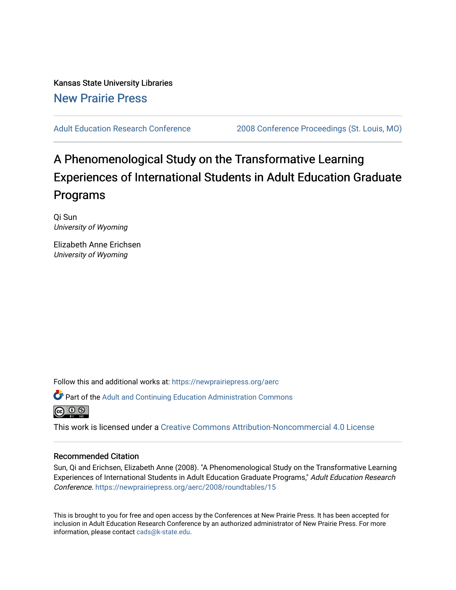Kansas State University Libraries [New Prairie Press](https://newprairiepress.org/) 

[Adult Education Research Conference](https://newprairiepress.org/aerc) [2008 Conference Proceedings \(St. Louis, MO\)](https://newprairiepress.org/aerc/2008) 

## A Phenomenological Study on the Transformative Learning Experiences of International Students in Adult Education Graduate Programs

Qi Sun University of Wyoming

Elizabeth Anne Erichsen University of Wyoming

Follow this and additional works at: [https://newprairiepress.org/aerc](https://newprairiepress.org/aerc?utm_source=newprairiepress.org%2Faerc%2F2008%2Froundtables%2F15&utm_medium=PDF&utm_campaign=PDFCoverPages)

Part of the [Adult and Continuing Education Administration Commons](http://network.bepress.com/hgg/discipline/789?utm_source=newprairiepress.org%2Faerc%2F2008%2Froundtables%2F15&utm_medium=PDF&utm_campaign=PDFCoverPages)



This work is licensed under a [Creative Commons Attribution-Noncommercial 4.0 License](https://creativecommons.org/licenses/by-nc/4.0/)

## Recommended Citation

Sun, Qi and Erichsen, Elizabeth Anne (2008). "A Phenomenological Study on the Transformative Learning Experiences of International Students in Adult Education Graduate Programs," Adult Education Research Conference.<https://newprairiepress.org/aerc/2008/roundtables/15>

This is brought to you for free and open access by the Conferences at New Prairie Press. It has been accepted for inclusion in Adult Education Research Conference by an authorized administrator of New Prairie Press. For more information, please contact [cads@k-state.edu](mailto:cads@k-state.edu).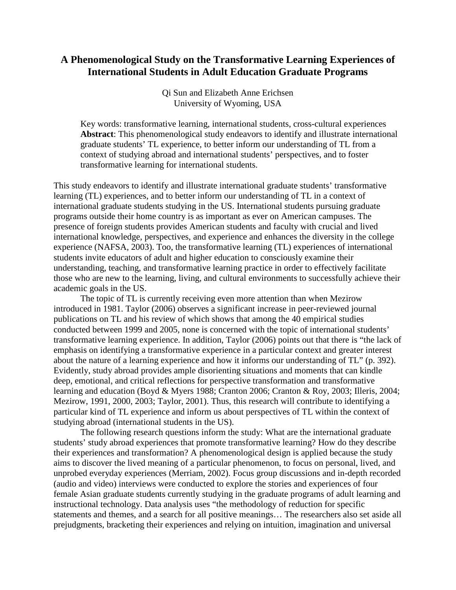## **A Phenomenological Study on the Transformative Learning Experiences of International Students in Adult Education Graduate Programs**

Qi Sun and Elizabeth Anne Erichsen University of Wyoming, USA

Key words: transformative learning, international students, cross-cultural experiences **Abstract**: This phenomenological study endeavors to identify and illustrate international graduate students' TL experience, to better inform our understanding of TL from a context of studying abroad and international students' perspectives, and to foster transformative learning for international students.

This study endeavors to identify and illustrate international graduate students' transformative learning (TL) experiences, and to better inform our understanding of TL in a context of international graduate students studying in the US. International students pursuing graduate programs outside their home country is as important as ever on American campuses. The presence of foreign students provides American students and faculty with crucial and lived international knowledge, perspectives, and experience and enhances the diversity in the college experience (NAFSA, 2003). Too, the transformative learning (TL) experiences of international students invite educators of adult and higher education to consciously examine their understanding, teaching, and transformative learning practice in order to effectively facilitate those who are new to the learning, living, and cultural environments to successfully achieve their academic goals in the US.

The topic of TL is currently receiving even more attention than when Mezirow introduced in 1981. Taylor (2006) observes a significant increase in peer-reviewed journal publications on TL and his review of which shows that among the 40 empirical studies conducted between 1999 and 2005, none is concerned with the topic of international students' transformative learning experience. In addition, Taylor (2006) points out that there is "the lack of emphasis on identifying a transformative experience in a particular context and greater interest about the nature of a learning experience and how it informs our understanding of TL" (p. 392). Evidently, study abroad provides ample disorienting situations and moments that can kindle deep, emotional, and critical reflections for perspective transformation and transformative learning and education (Boyd & Myers 1988; Cranton 2006; Cranton & Roy, 2003; Illeris, 2004; Mezirow, 1991, 2000, 2003; Taylor, 2001). Thus, this research will contribute to identifying a particular kind of TL experience and inform us about perspectives of TL within the context of studying abroad (international students in the US).

The following research questions inform the study: What are the international graduate students' study abroad experiences that promote transformative learning? How do they describe their experiences and transformation? A phenomenological design is applied because the study aims to discover the lived meaning of a particular phenomenon, to focus on personal, lived, and unprobed everyday experiences (Merriam, 2002). Focus group discussions and in-depth recorded (audio and video) interviews were conducted to explore the stories and experiences of four female Asian graduate students currently studying in the graduate programs of adult learning and instructional technology. Data analysis uses "the methodology of reduction for specific statements and themes, and a search for all positive meanings… The researchers also set aside all prejudgments, bracketing their experiences and relying on intuition, imagination and universal